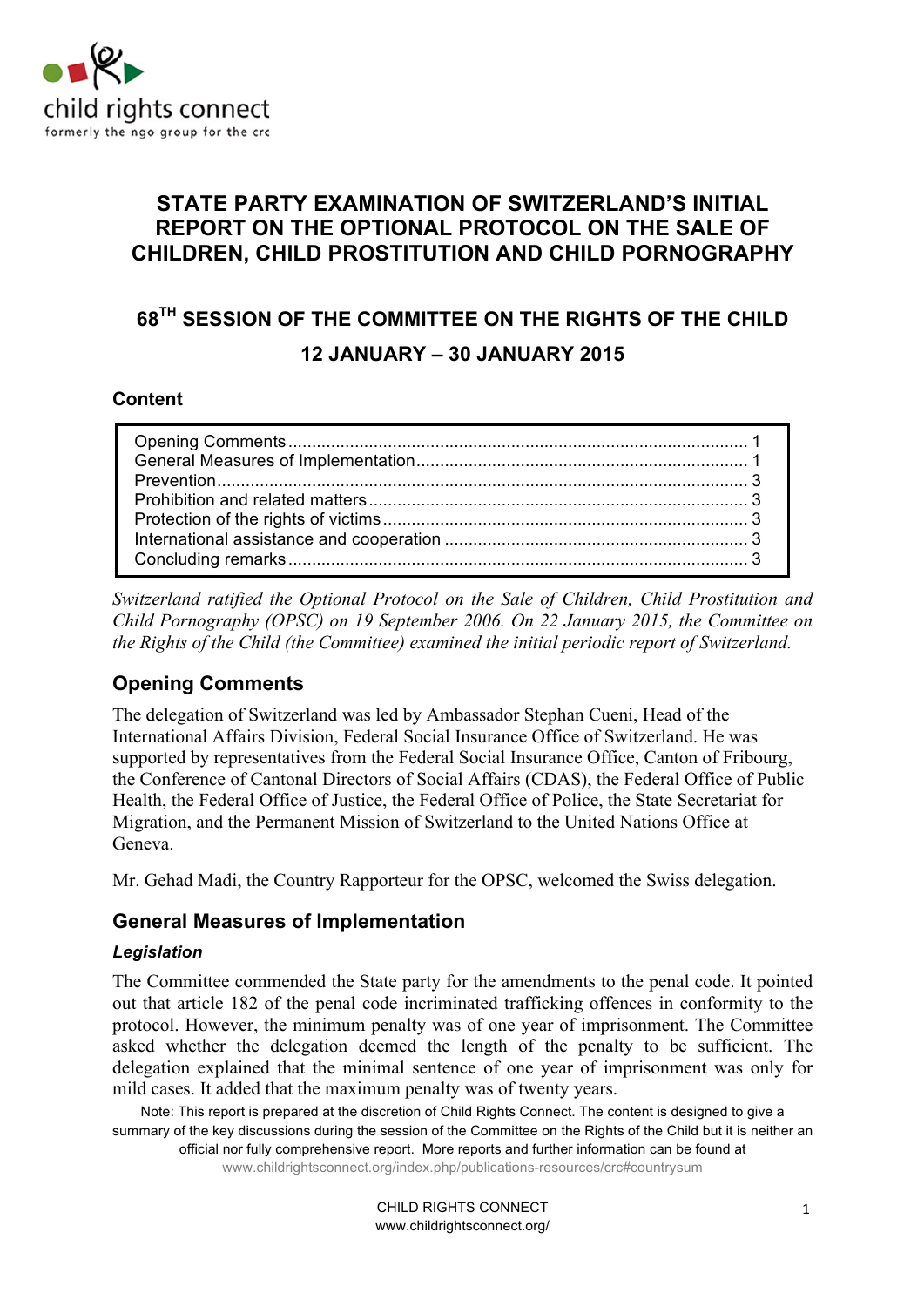

### **STATE PARTY EXAMINATION OF SWITZERLAND'S INITIAL REPORT ON THE OPTIONAL PROTOCOL ON THE SALE OF CHILDREN, CHILD PROSTITUTION AND CHILD PORNOGRAPHY**

# **68TH SESSION OF THE COMMITTEE ON THE RIGHTS OF THE CHILD 12 JANUARY – 30 JANUARY 2015**

#### **Content**

*Switzerland ratified the Optional Protocol on the Sale of Children, Child Prostitution and Child Pornography (OPSC) on 19 September 2006. On 22 January 2015, the Committee on the Rights of the Child (the Committee) examined the initial periodic report of Switzerland.* 

### **Opening Comments**

The delegation of Switzerland was led by Ambassador Stephan Cueni, Head of the International Affairs Division, Federal Social Insurance Office of Switzerland. He was supported by representatives from the Federal Social Insurance Office, Canton of Fribourg, the Conference of Cantonal Directors of Social Affairs (CDAS), the Federal Office of Public Health, the Federal Office of Justice, the Federal Office of Police, the State Secretariat for Migration, and the Permanent Mission of Switzerland to the United Nations Office at Geneva.

Mr. Gehad Madi, the Country Rapporteur for the OPSC, welcomed the Swiss delegation.

### **General Measures of Implementation**

#### *Legislation*

The Committee commended the State party for the amendments to the penal code. It pointed out that article 182 of the penal code incriminated trafficking offences in conformity to the protocol. However, the minimum penalty was of one year of imprisonment. The Committee asked whether the delegation deemed the length of the penalty to be sufficient. The delegation explained that the minimal sentence of one year of imprisonment was only for mild cases. It added that the maximum penalty was of twenty years.

Note: This report is prepared at the discretion of Child Rights Connect. The content is designed to give a summary of the key discussions during the session of the Committee on the Rights of the Child but it is neither an official nor fully comprehensive report. More reports and further information can be found at www.childrightsconnect.org/index.php/publications-resources/crc#countrysum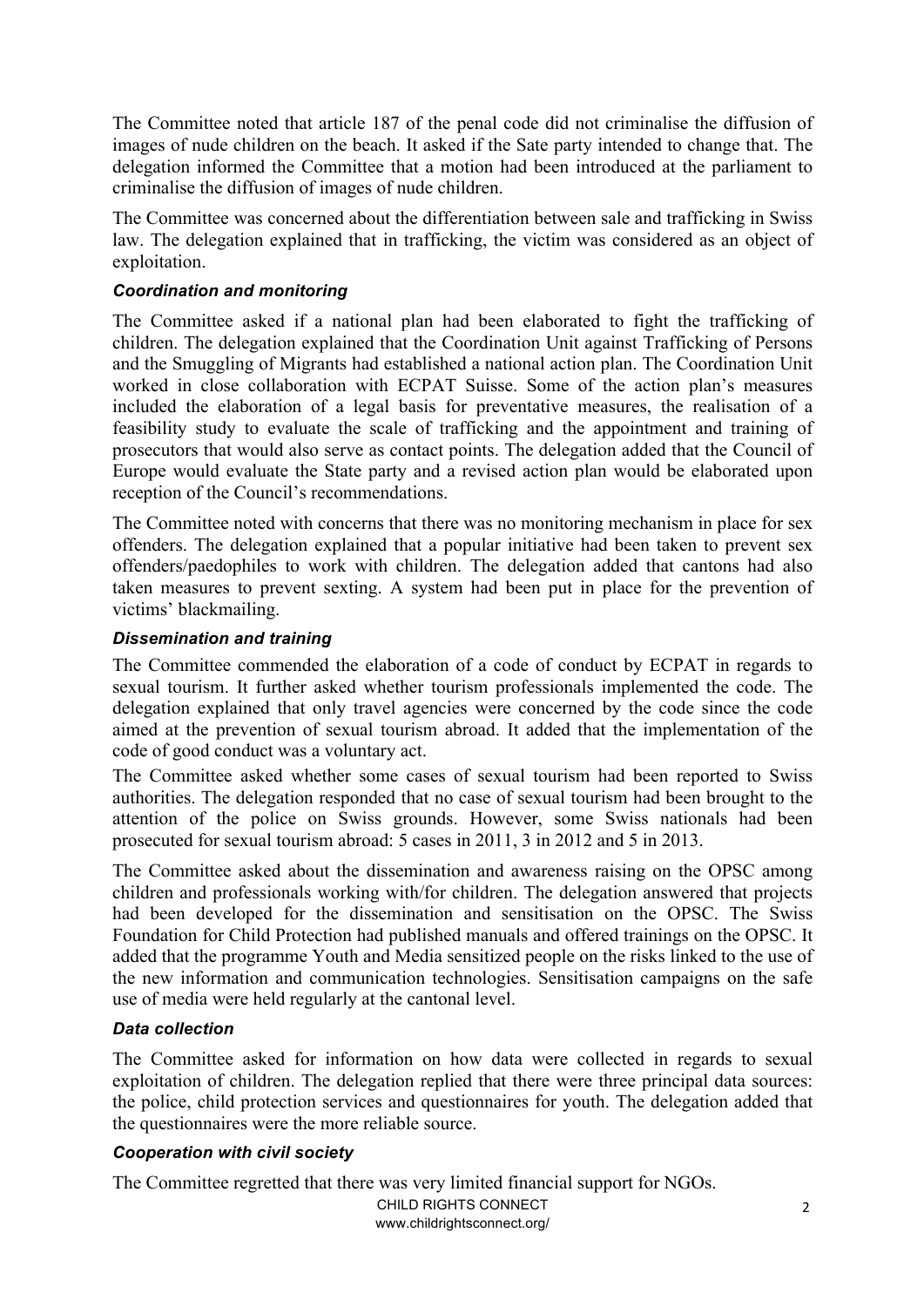The Committee noted that article 187 of the penal code did not criminalise the diffusion of images of nude children on the beach. It asked if the Sate party intended to change that. The delegation informed the Committee that a motion had been introduced at the parliament to criminalise the diffusion of images of nude children.

The Committee was concerned about the differentiation between sale and trafficking in Swiss law. The delegation explained that in trafficking, the victim was considered as an object of exploitation.

#### *Coordination and monitoring*

The Committee asked if a national plan had been elaborated to fight the trafficking of children. The delegation explained that the Coordination Unit against Trafficking of Persons and the Smuggling of Migrants had established a national action plan. The Coordination Unit worked in close collaboration with ECPAT Suisse. Some of the action plan's measures included the elaboration of a legal basis for preventative measures, the realisation of a feasibility study to evaluate the scale of trafficking and the appointment and training of prosecutors that would also serve as contact points. The delegation added that the Council of Europe would evaluate the State party and a revised action plan would be elaborated upon reception of the Council's recommendations.

The Committee noted with concerns that there was no monitoring mechanism in place for sex offenders. The delegation explained that a popular initiative had been taken to prevent sex offenders/paedophiles to work with children. The delegation added that cantons had also taken measures to prevent sexting. A system had been put in place for the prevention of victims' blackmailing.

#### *Dissemination and training*

The Committee commended the elaboration of a code of conduct by ECPAT in regards to sexual tourism. It further asked whether tourism professionals implemented the code. The delegation explained that only travel agencies were concerned by the code since the code aimed at the prevention of sexual tourism abroad. It added that the implementation of the code of good conduct was a voluntary act.

The Committee asked whether some cases of sexual tourism had been reported to Swiss authorities. The delegation responded that no case of sexual tourism had been brought to the attention of the police on Swiss grounds. However, some Swiss nationals had been prosecuted for sexual tourism abroad: 5 cases in 2011, 3 in 2012 and 5 in 2013.

The Committee asked about the dissemination and awareness raising on the OPSC among children and professionals working with/for children. The delegation answered that projects had been developed for the dissemination and sensitisation on the OPSC. The Swiss Foundation for Child Protection had published manuals and offered trainings on the OPSC. It added that the programme Youth and Media sensitized people on the risks linked to the use of the new information and communication technologies. Sensitisation campaigns on the safe use of media were held regularly at the cantonal level.

#### *Data collection*

The Committee asked for information on how data were collected in regards to sexual exploitation of children. The delegation replied that there were three principal data sources: the police, child protection services and questionnaires for youth. The delegation added that the questionnaires were the more reliable source.

#### *Cooperation with civil society*

The Committee regretted that there was very limited financial support for NGOs.

CHILD RIGHTS CONNECT www.childrightsconnect.org/